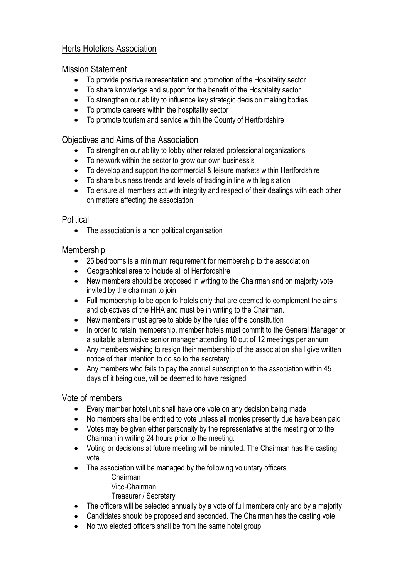# Herts Hoteliers Association

## Mission Statement

- To provide positive representation and promotion of the Hospitality sector
- To share knowledge and support for the benefit of the Hospitality sector
- To strengthen our ability to influence key strategic decision making bodies
- To promote careers within the hospitality sector
- To promote tourism and service within the County of Hertfordshire

# Objectives and Aims of the Association

- To strengthen our ability to lobby other related professional organizations
- To network within the sector to grow our own business's
- To develop and support the commercial & leisure markets within Hertfordshire
- To share business trends and levels of trading in line with legislation
- To ensure all members act with integrity and respect of their dealings with each other on matters affecting the association

#### **Political**

• The association is a non political organisation

## Membership

- 25 bedrooms is a minimum requirement for membership to the association
- Geographical area to include all of Hertfordshire
- New members should be proposed in writing to the Chairman and on majority vote invited by the chairman to join
- Full membership to be open to hotels only that are deemed to complement the aims and objectives of the HHA and must be in writing to the Chairman.
- New members must agree to abide by the rules of the constitution
- In order to retain membership, member hotels must commit to the General Manager or a suitable alternative senior manager attending 10 out of 12 meetings per annum
- Any members wishing to resign their membership of the association shall give written notice of their intention to do so to the secretary
- Any members who fails to pay the annual subscription to the association within 45 days of it being due, will be deemed to have resigned

## Vote of members

- Every member hotel unit shall have one vote on any decision being made
- No members shall be entitled to vote unless all monies presently due have been paid
- Votes may be given either personally by the representative at the meeting or to the Chairman in writing 24 hours prior to the meeting.
- Voting or decisions at future meeting will be minuted. The Chairman has the casting vote
- The association will be managed by the following voluntary officers Chairman
	- Vice-Chairman
	- Treasurer / Secretary
- The officers will be selected annually by a vote of full members only and by a majority
- Candidates should be proposed and seconded. The Chairman has the casting vote
- No two elected officers shall be from the same hotel group